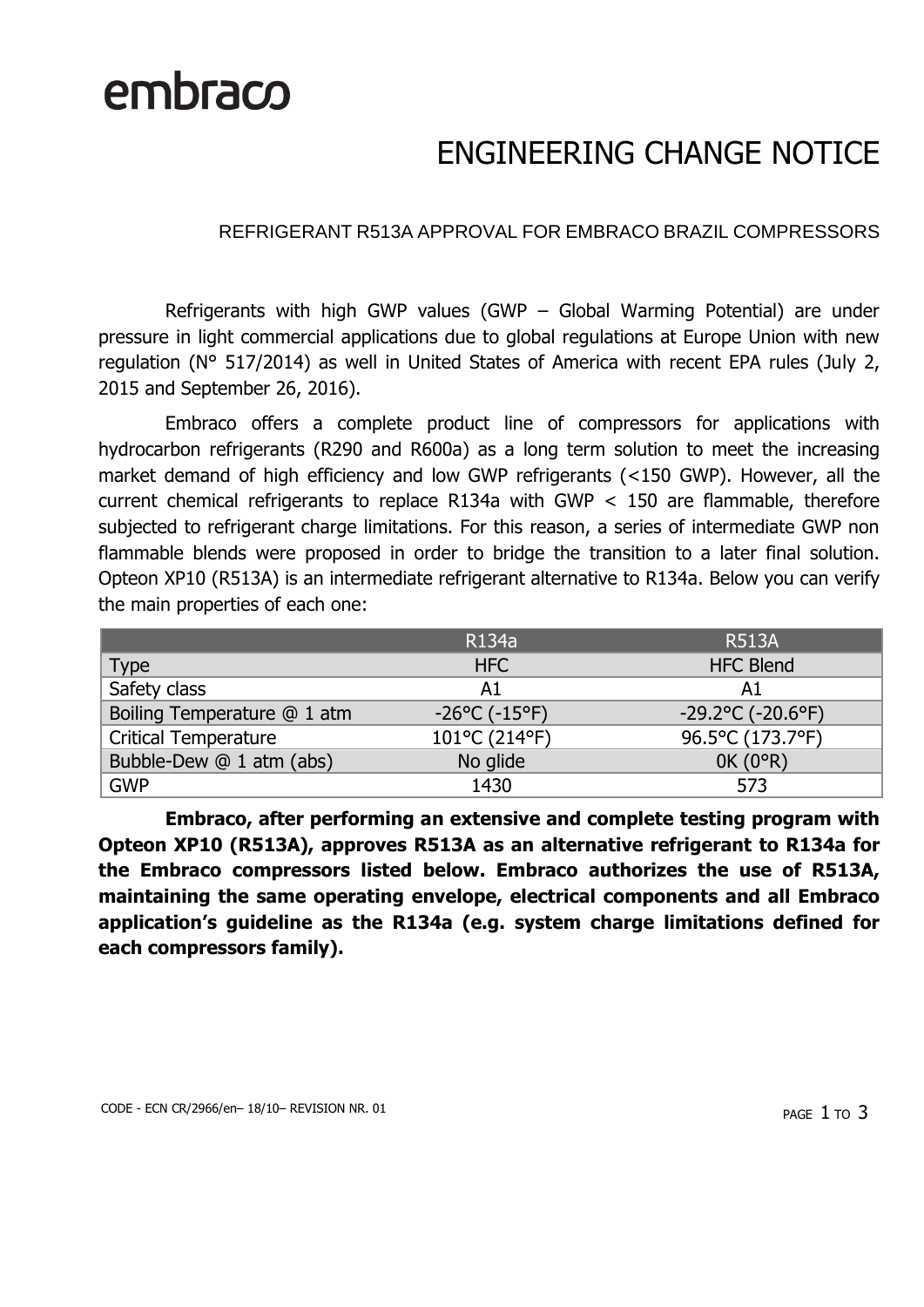## embraco

### ENGINEERING CHANGE NOTICE

#### REFRIGERANT R513A APPROVAL FOR EMBRACO BRAZIL COMPRESSORS

Refrigerants with high GWP values (GWP – Global Warming Potential) are under pressure in light commercial applications due to global regulations at Europe Union with new regulation (N° 517/2014) as well in United States of America with recent EPA rules (July 2, 2015 and September 26, 2016).

Embraco offers a complete product line of compressors for applications with hydrocarbon refrigerants (R290 and R600a) as a long term solution to meet the increasing market demand of high efficiency and low GWP refrigerants (<150 GWP). However, all the current chemical refrigerants to replace R134a with GWP < 150 are flammable, therefore subjected to refrigerant charge limitations. For this reason, a series of intermediate GWP non flammable blends were proposed in order to bridge the transition to a later final solution. Opteon XP10 (R513A) is an intermediate refrigerant alternative to R134a. Below you can verify the main properties of each one:

|                             | R134a                | <b>R513A</b>             |
|-----------------------------|----------------------|--------------------------|
| Type                        | HFC                  | <b>HFC Blend</b>         |
| Safety class                | A1                   | A1                       |
| Boiling Temperature @ 1 atm | $-26$ °C ( $-15$ °F) | $-29.2$ °C ( $-20.6$ °F) |
| <b>Critical Temperature</b> | 101°C (214°F)        | 96.5°C (173.7°F)         |
| Bubble-Dew @ 1 atm (abs)    | No glide             | 0K (0°R)                 |
| <b>GWP</b>                  | 1430                 | 573                      |

**Embraco, after performing an extensive and complete testing program with Opteon XP10 (R513A), approves R513A as an alternative refrigerant to R134a for the Embraco compressors listed below. Embraco authorizes the use of R513A, maintaining the same operating envelope, electrical components and all Embraco application's guideline as the R134a (e.g. system charge limitations defined for each compressors family).**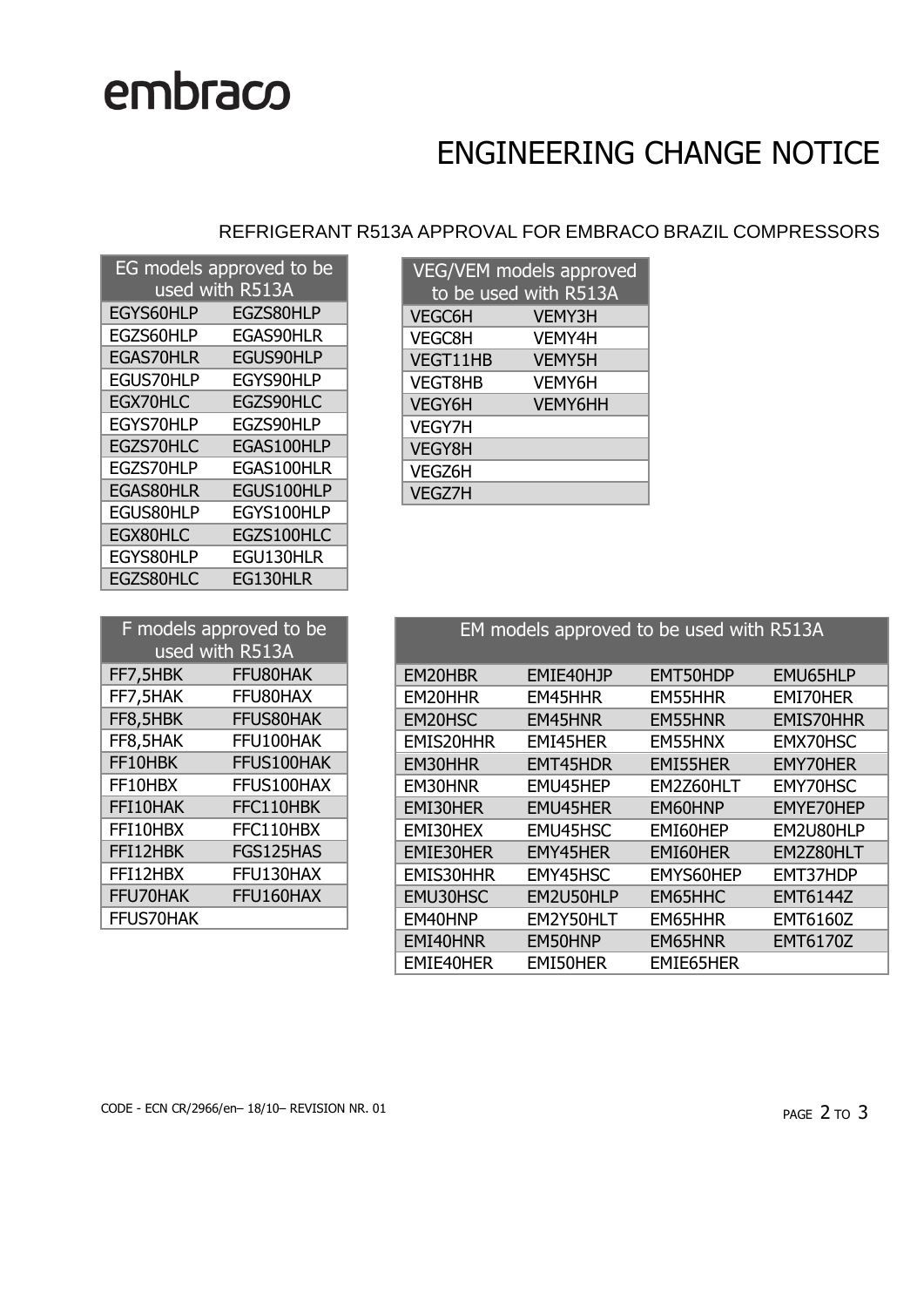## embraco

## ENGINEERING CHANGE NOTICE

#### REFRIGERANT R513A APPROVAL FOR EMBRACO BRAZIL COMPRESSORS

| EG models approved to be |                  |  |  |  |
|--------------------------|------------------|--|--|--|
| $used$ with $R513A$      |                  |  |  |  |
| EGYS60HLP                | EGZS80HLP        |  |  |  |
| EGZS60HLP                | <b>EGAS90HLR</b> |  |  |  |
| <b>EGAS70HLR</b>         | EGUS90HLP        |  |  |  |
| EGUS70HLP                | EGYS90HLP        |  |  |  |
| EGX70HLC                 | EGZS90HLC        |  |  |  |
| EGYS70HLP                | EGZS90HLP        |  |  |  |
| EGZS70HLC                | EGAS100HLP       |  |  |  |
| EGZS70HLP                | EGAS100HLR       |  |  |  |
| <b>EGAS80HLR</b>         | EGUS100HLP       |  |  |  |
| EGUS80HLP                | EGYS100HLP       |  |  |  |
| EGX80HLC                 | EGZS100HLC       |  |  |  |
| EGYS80HLP                | EGU130HLR        |  |  |  |
| EGZS80HLC                | EG130HLR         |  |  |  |

| <b>VEG/VEM</b> models approved |                |  |  |
|--------------------------------|----------------|--|--|
| to be used with R513A          |                |  |  |
| <b>VEGC6H</b>                  | VFMY3H         |  |  |
| <b>VEGC8H</b>                  | <b>VEMY4H</b>  |  |  |
| VEGT11HB                       | <b>VEMY5H</b>  |  |  |
| <b>VEGT8HB</b>                 | VEMY6H         |  |  |
| VEGY6H                         | <b>VEMY6HH</b> |  |  |
| <b>VEGY7H</b>                  |                |  |  |
| <b>VEGY8H</b>                  |                |  |  |
| VEGZ6H                         |                |  |  |
| <b>VEGZ7H</b>                  |                |  |  |

| F models approved to be |            |  |  |
|-------------------------|------------|--|--|
| used with R513A         |            |  |  |
| FF7,5HBK                | FFU80HAK   |  |  |
| FF7,5HAK                | FFU80HAX   |  |  |
| FF8,5HBK                | FFUS80HAK  |  |  |
| FF8,5HAK                | FFU100HAK  |  |  |
| FF10HBK                 | FFUS100HAK |  |  |
| FF10HBX                 | FFUS100HAX |  |  |
| FFI10HAK                | FFC110HBK  |  |  |
| FFI10HBX                | FFC110HBX  |  |  |
| FFI12HBK                | FGS125HAS  |  |  |
| FFI12HBX                | FFU130HAX  |  |  |
| FFU70HAK                | FFU160HAX  |  |  |
| FFUS70HAK               |            |  |  |

| EM models approved to be used with R513A |                 |           |                  |  |
|------------------------------------------|-----------------|-----------|------------------|--|
| EM20HBR                                  | EMIE40HJP       | EMT50HDP  | EMU65HLP         |  |
| EM20HHR                                  | EM45HHR         | EM55HHR   | EMI70HER         |  |
| EM20HSC                                  | EM45HNR         | EM55HNR   | <b>EMIS70HHR</b> |  |
| EMIS20HHR                                | EMI45HER        | EM55HNX   | EMX70HSC         |  |
| EM30HHR                                  | <b>EMT45HDR</b> | EMI55HER  | EMY70HER         |  |
| EM30HNR                                  | EMU45HEP        | EM2Z60HLT | EMY70HSC         |  |
| EMI30HER                                 | <b>EMU45HER</b> | EM60HNP   | EMYE70HEP        |  |
| EMI30HEX                                 | EMU45HSC        | EMI60HEP  | EM2U80HLP        |  |
| EMIE30HER                                | <b>EMY45HER</b> | EMI60HER  | EM2Z80HLT        |  |
| EMIS30HHR                                | EMY45HSC        | EMYS60HEP | EMT37HDP         |  |
| EMU30HSC                                 | EM2U50HLP       | EM65HHC   | <b>EMT6144Z</b>  |  |
| EM40HNP                                  | EM2Y50HLT       | EM65HHR   | <b>EMT6160Z</b>  |  |
| EMI40HNR                                 | EM50HNP         | EM65HNR   | <b>EMT6170Z</b>  |  |
| EMIE40HER                                | EMI50HER        | EMIE65HER |                  |  |